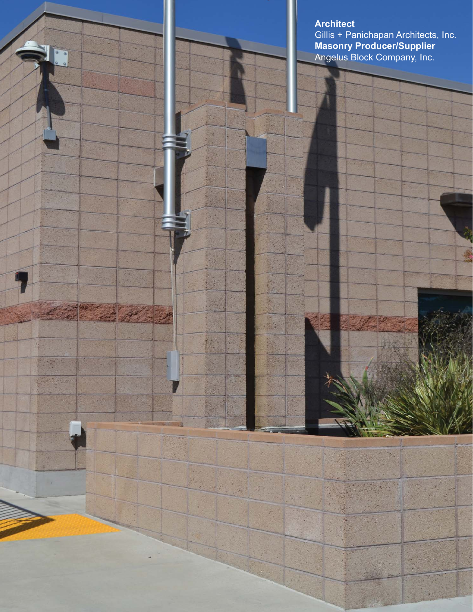**Architect** 

1

 $\mathcal{F}^{\mu}$  , and  $\mathcal{F}^{\mu}$ 

家

 $\frac{1}{2}$ 

 $\mathbb{R}$ 

Gillis + Panichapan Architects, Inc. **Masonry Producer/Supplier** Angelus Block Company, Inc.

15%

R.